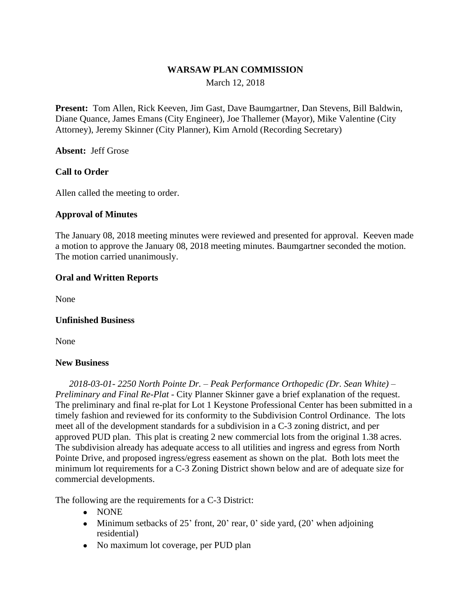### **WARSAW PLAN COMMISSION**

March 12, 2018

**Present:** Tom Allen, Rick Keeven, Jim Gast, Dave Baumgartner, Dan Stevens, Bill Baldwin, Diane Quance, James Emans (City Engineer), Joe Thallemer (Mayor), Mike Valentine (City Attorney), Jeremy Skinner (City Planner), Kim Arnold (Recording Secretary)

**Absent:** Jeff Grose

## **Call to Order**

Allen called the meeting to order.

### **Approval of Minutes**

The January 08, 2018 meeting minutes were reviewed and presented for approval. Keeven made a motion to approve the January 08, 2018 meeting minutes. Baumgartner seconded the motion. The motion carried unanimously.

### **Oral and Written Reports**

None

### **Unfinished Business**

None

### **New Business**

*2018-03-01- 2250 North Pointe Dr. – Peak Performance Orthopedic (Dr. Sean White) – Preliminary and Final Re-Plat -* City Planner Skinner gave a brief explanation of the request. The preliminary and final re-plat for Lot 1 Keystone Professional Center has been submitted in a timely fashion and reviewed for its conformity to the Subdivision Control Ordinance. The lots meet all of the development standards for a subdivision in a C-3 zoning district, and per approved PUD plan. This plat is creating 2 new commercial lots from the original 1.38 acres. The subdivision already has adequate access to all utilities and ingress and egress from North Pointe Drive, and proposed ingress/egress easement as shown on the plat. Both lots meet the minimum lot requirements for a C-3 Zoning District shown below and are of adequate size for commercial developments.

The following are the requirements for a C-3 District:

- NONE
- Minimum setbacks of  $25'$  front,  $20'$  rear,  $0'$  side yard,  $(20'$  when adjoining residential)
- No maximum lot coverage, per PUD plan